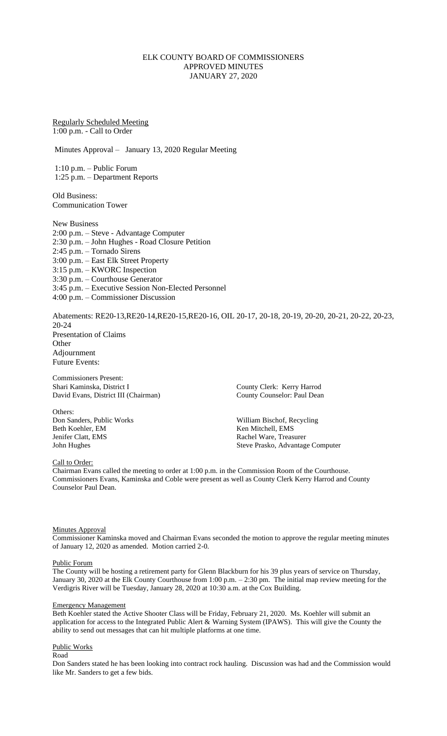# ELK COUNTY BOARD OF COMMISSIONERS APPROVED MINUTES JANUARY 27, 2020

Regularly Scheduled Meeting 1:00 p.m. - Call to Order

Minutes Approval – January 13, 2020 Regular Meeting

1:10 p.m. – Public Forum 1:25 p.m. – Department Reports

Old Business: Communication Tower

New Business 2:00 p.m. – Steve - Advantage Computer 2:30 p.m. – John Hughes - Road Closure Petition 2:45 p.m. – Tornado Sirens 3:00 p.m. – East Elk Street Property 3:15 p.m. – KWORC Inspection 3:30 p.m. – Courthouse Generator 3:45 p.m. – Executive Session Non-Elected Personnel 4:00 p.m. – Commissioner Discussion

Abatements: RE20-13,RE20-14,RE20-15,RE20-16, OIL 20-17, 20-18, 20-19, 20-20, 20-21, 20-22, 20-23, 20-24 Presentation of Claims **Other** Adjournment Future Events:

Commissioners Present: Shari Kaminska, District I County Clerk: Kerry Harrod David Evans, District III (Chairman) County Counselor: Paul Dean

Others:<br>Don Sanders, Public Works Beth Koehler, EM Ken Mitchell, EMS Jenifer Clatt, EMS Rachel Ware, Treasurer

William Bischof, Recycling John Hughes Steve Prasko, Advantage Computer

Call to Order:

Chairman Evans called the meeting to order at 1:00 p.m. in the Commission Room of the Courthouse. Commissioners Evans, Kaminska and Coble were present as well as County Clerk Kerry Harrod and County Counselor Paul Dean.

## **Minutes Approval**

Commissioner Kaminska moved and Chairman Evans seconded the motion to approve the regular meeting minutes of January 12, 2020 as amended. Motion carried 2-0.

#### Public Forum

The County will be hosting a retirement party for Glenn Blackburn for his 39 plus years of service on Thursday, January 30, 2020 at the Elk County Courthouse from 1:00 p.m. – 2:30 pm. The initial map review meeting for the Verdigris River will be Tuesday, January 28, 2020 at 10:30 a.m. at the Cox Building.

#### Emergency Management

Beth Koehler stated the Active Shooter Class will be Friday, February 21, 2020. Ms. Koehler will submit an application for access to the Integrated Public Alert & Warning System (IPAWS). This will give the County the ability to send out messages that can hit multiple platforms at one time.

### Public Works

Road

Don Sanders stated he has been looking into contract rock hauling. Discussion was had and the Commission would like Mr. Sanders to get a few bids.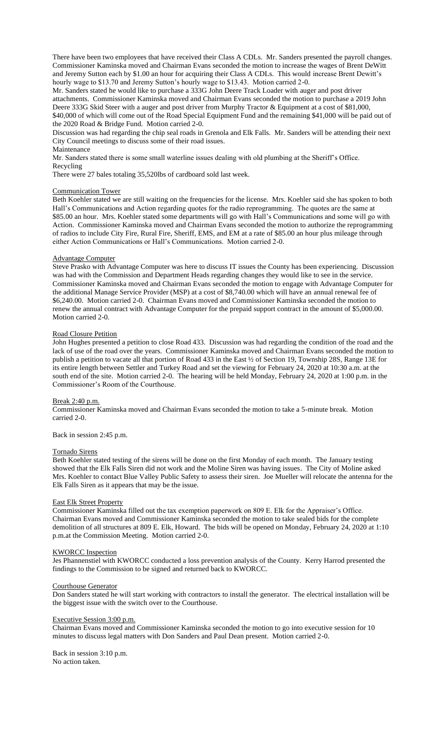There have been two employees that have received their Class A CDLs. Mr. Sanders presented the payroll changes. Commissioner Kaminska moved and Chairman Evans seconded the motion to increase the wages of Brent DeWitt and Jeremy Sutton each by \$1.00 an hour for acquiring their Class A CDLs. This would increase Brent Dewitt's hourly wage to \$13.70 and Jeremy Sutton's hourly wage to \$13.43. Motion carried 2-0.

Mr. Sanders stated he would like to purchase a 333G John Deere Track Loader with auger and post driver attachments. Commissioner Kaminska moved and Chairman Evans seconded the motion to purchase a 2019 John Deere 333G Skid Steer with a auger and post driver from Murphy Tractor & Equipment at a cost of \$81,000, \$40,000 of which will come out of the Road Special Equipment Fund and the remaining \$41,000 will be paid out of the 2020 Road & Bridge Fund. Motion carried 2-0.

Discussion was had regarding the chip seal roads in Grenola and Elk Falls. Mr. Sanders will be attending their next City Council meetings to discuss some of their road issues.

# Maintenance

Mr. Sanders stated there is some small waterline issues dealing with old plumbing at the Sheriff's Office. Recycling

There were 27 bales totaling 35,520lbs of cardboard sold last week.

### Communication Tower

Beth Koehler stated we are still waiting on the frequencies for the license. Mrs. Koehler said she has spoken to both Hall's Communications and Action regarding quotes for the radio reprogramming. The quotes are the same at \$85.00 an hour. Mrs. Koehler stated some departments will go with Hall's Communications and some will go with Action. Commissioner Kaminska moved and Chairman Evans seconded the motion to authorize the reprogramming of radios to include City Fire, Rural Fire, Sheriff, EMS, and EM at a rate of \$85.00 an hour plus mileage through either Action Communications or Hall's Communications. Motion carried 2-0.

### Advantage Computer

Steve Prasko with Advantage Computer was here to discuss IT issues the County has been experiencing. Discussion was had with the Commission and Department Heads regarding changes they would like to see in the service. Commissioner Kaminska moved and Chairman Evans seconded the motion to engage with Advantage Computer for the additional Manage Service Provider (MSP) at a cost of \$8,740.00 which will have an annual renewal fee of \$6,240.00. Motion carried 2-0. Chairman Evans moved and Commissioner Kaminska seconded the motion to renew the annual contract with Advantage Computer for the prepaid support contract in the amount of \$5,000.00. Motion carried 2-0.

## Road Closure Petition

John Hughes presented a petition to close Road 433. Discussion was had regarding the condition of the road and the lack of use of the road over the years. Commissioner Kaminska moved and Chairman Evans seconded the motion to publish a petition to vacate all that portion of Road 433 in the East ½ of Section 19, Township 28S, Range 13E for its entire length between Settler and Turkey Road and set the viewing for February 24, 2020 at 10:30 a.m. at the south end of the site. Motion carried 2-0. The hearing will be held Monday, February 24, 2020 at 1:00 p.m. in the Commissioner's Room of the Courthouse.

## Break 2:40 p.m.

Commissioner Kaminska moved and Chairman Evans seconded the motion to take a 5-minute break. Motion carried 2-0.

Back in session 2:45 p.m.

#### Tornado Sirens

Beth Koehler stated testing of the sirens will be done on the first Monday of each month. The January testing showed that the Elk Falls Siren did not work and the Moline Siren was having issues. The City of Moline asked Mrs. Koehler to contact Blue Valley Public Safety to assess their siren. Joe Mueller will relocate the antenna for the Elk Falls Siren as it appears that may be the issue.

#### East Elk Street Property

Commissioner Kaminska filled out the tax exemption paperwork on 809 E. Elk for the Appraiser's Office. Chairman Evans moved and Commissioner Kaminska seconded the motion to take sealed bids for the complete demolition of all structures at 809 E. Elk, Howard. The bids will be opened on Monday, February 24, 2020 at 1:10 p.m.at the Commission Meeting. Motion carried 2-0.

## KWORCC Inspection

Jes Phannenstiel with KWORCC conducted a loss prevention analysis of the County. Kerry Harrod presented the findings to the Commission to be signed and returned back to KWORCC.

#### Courthouse Generator

Don Sanders stated he will start working with contractors to install the generator. The electrical installation will be the biggest issue with the switch over to the Courthouse.

#### Executive Session 3:00 p.m.

Chairman Evans moved and Commissioner Kaminska seconded the motion to go into executive session for 10 minutes to discuss legal matters with Don Sanders and Paul Dean present. Motion carried 2-0.

Back in session 3:10 p.m. No action taken.